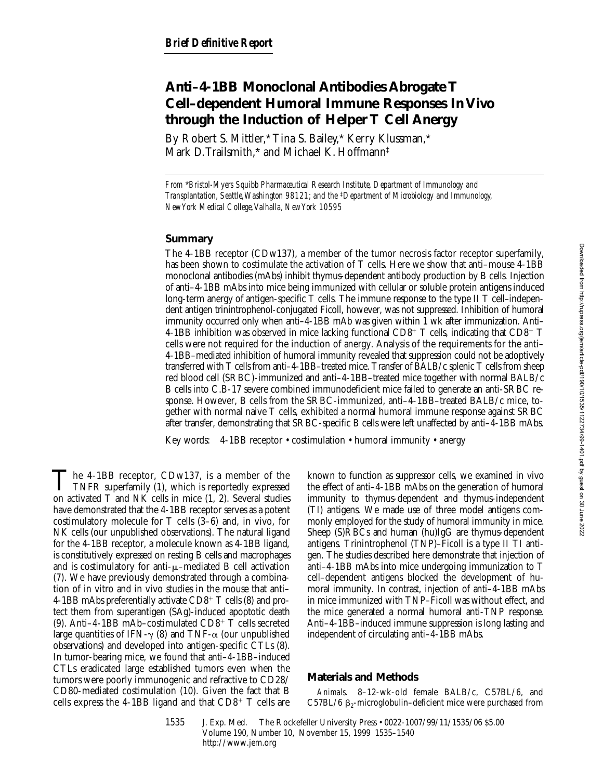# **Anti–4-1BB Monoclonal Antibodies Abrogate T Cell–dependent Humoral Immune Responses In Vivo through the Induction of Helper T Cell Anergy**

By Robert S. Mittler,\* Tina S. Bailey,\* Kerry Klussman,\* Mark D. Trailsmith,\* and Michael K. Hoffmann‡

*From* \**Bristol-Myers Squibb Pharmaceutical Research Institute, Department of Immunology and Transplantation, Seattle, Washington 98121; and the* ‡*Department of Microbiology and Immunology, New York Medical College, Valhalla, New York 10595*

## **Summary**

The 4-1BB receptor (CDw137), a member of the tumor necrosis factor receptor superfamily, has been shown to costimulate the activation of T cells. Here we show that anti–mouse 4-1BB monoclonal antibodies (mAbs) inhibit thymus-dependent antibody production by B cells. Injection of anti–4-1BB mAbs into mice being immunized with cellular or soluble protein antigens induced long-term anergy of antigen-specific T cells. The immune response to the type II T cell–independent antigen trinintrophenol-conjugated Ficoll, however, was not suppressed. Inhibition of humoral immunity occurred only when anti–4-1BB mAb was given within 1 wk after immunization. Anti– 4-1BB inhibition was observed in mice lacking functional CD8<sup>+</sup> T cells, indicating that CD8<sup>+</sup> T cells were not required for the induction of anergy. Analysis of the requirements for the anti– 4-1BB–mediated inhibition of humoral immunity revealed that suppression could not be adoptively transferred with T cells from anti–4-1BB–treated mice. Transfer of BALB/c splenic T cells from sheep red blood cell (SRBC)-immunized and anti–4-1BB–treated mice together with normal BALB/c B cells into C.B-17 severe combined immunodeficient mice failed to generate an anti-SRBC response. However, B cells from the SRBC-immunized, anti–4-1BB–treated BALB/c mice, together with normal naive T cells, exhibited a normal humoral immune response against SRBC after transfer, demonstrating that SRBC-specific B cells were left unaffected by anti–4-1BB mAbs.

Key words: 4-1BB receptor • costimulation • humoral immunity • anergy

The 4-1BB receptor, CDw137, is a member of the<br>TNFR superfamily (1), which is reportedly expressed<br>on estimated  $T$  and  $NK$  cells in mise (1, 2). Several studies on activated T and NK cells in mice (1, 2). Several studies have demonstrated that the 4-1BB receptor serves as a potent costimulatory molecule for T cells (3–6) and, in vivo, for NK cells (our unpublished observations). The natural ligand for the 4-1BB receptor, a molecule known as 4-1BB ligand, is constitutively expressed on resting B cells and macrophages and is costimulatory for anti- $\mu$ –mediated B cell activation (7). We have previously demonstrated through a combination of in vitro and in vivo studies in the mouse that anti– 4-1BB mAbs preferentially activate  $CD8^+$  T cells (8) and protect them from superantigen (SAg)-induced apoptotic death (9). Anti-4-1BB mAb-costimulated CD8+  $\dot{T}$  cells secreted large quantities of IFN- $\gamma$  (8) and TNF- $\alpha$  (our unpublished observations) and developed into antigen-specific CTLs (8). In tumor-bearing mice, we found that anti–4-1BB–induced CTLs eradicated large established tumors even when the tumors were poorly immunogenic and refractive to CD28/ CD80-mediated costimulation (10). Given the fact that B cells express the 4-1BB ligand and that  $CD8^+$  T cells are

known to function as suppressor cells, we examined in vivo the effect of anti–4-1BB mAbs on the generation of humoral immunity to thymus-dependent and thymus-independent (TI) antigens. We made use of three model antigens commonly employed for the study of humoral immunity in mice. Sheep (S)RBCs and human (hu)IgG are thymus-dependent antigens. Trinintrophenol (TNP)–Ficoll is a type II TI antigen. The studies described here demonstrate that injection of anti–4-1BB mAbs into mice undergoing immunization to T cell–dependent antigens blocked the development of humoral immunity. In contrast, injection of anti–4-1BB mAbs in mice immunized with TNP–Ficoll was without effect, and the mice generated a normal humoral anti-TNP response. Anti–4-1BB–induced immune suppression is long lasting and independent of circulating anti–4-1BB mAbs.

## **Materials and Methods**

*Animals.* 8–12-wk-old female BALB/c, C57BL/6, and C57BL/6  $\beta_2$ -microglobulin–deficient mice were purchased from

1535 J. Exp. Med. The Rockefeller University Press • 0022-1007/99/11/1535/06 \$5.00 Volume 190, Number 10, November 15, 1999 1535–1540 http://www.jem.org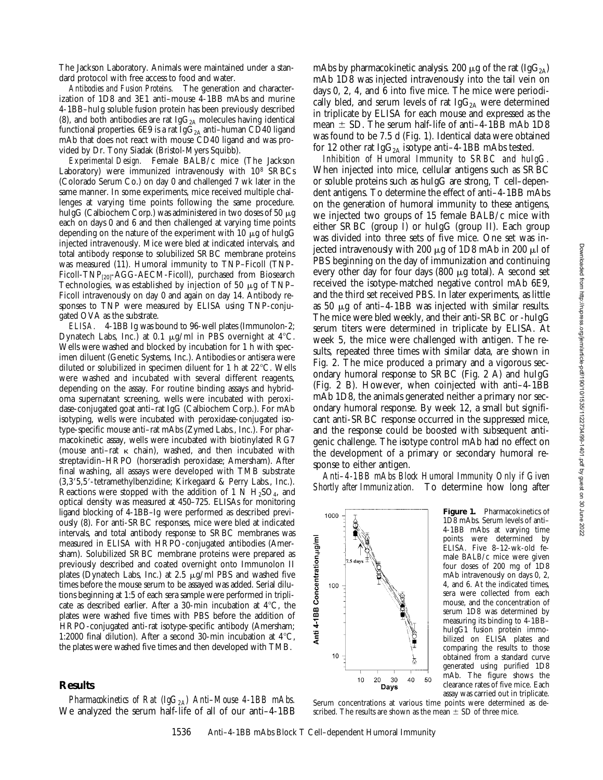The Jackson Laboratory. Animals were maintained under a standard protocol with free access to food and water.

*Antibodies and Fusion Proteins.* The generation and characterization of 1D8 and 3E1 anti–mouse 4-1BB mAbs and murine 4-1BB–huIg soluble fusion protein has been previously described (8), and both antibodies are rat Ig $G_{2A}$  molecules having identical functional properties. 6E9 is a rat Ig $G_{2A}$  anti-human CD40 ligand mAb that does not react with mouse CD40 ligand and was provided by Dr. Tony Siadak (Bristol-Myers Squibb).

*Experimental Design.* Female BALB/c mice (The Jackson Laboratory) were immunized intravenously with  $10^8$  SRBCs (Colorado Serum Co.) on day 0 and challenged 7 wk later in the same manner. In some experiments, mice received multiple challenges at varying time points following the same procedure. huIgG (Calbiochem Corp.) was administered in two doses of 50  $\mu$ g each on days 0 and 6 and then challenged at varying time points depending on the nature of the experiment with  $10 \mu$ g of huIgG injected intravenously. Mice were bled at indicated intervals, and total antibody response to solubilized SRBC membrane proteins was measured (11). Humoral immunity to TNP–Ficoll (TNP-Ficoll-TNP<sub>[20]</sub>-AGG-AECM-Ficoll), purchased from Biosearch Technologies, was established by injection of 50  $\mu$ g of TNP– Ficoll intravenously on day 0 and again on day 14. Antibody responses to TNP were measured by ELISA using TNP-conjugated OVA as the substrate.

*ELISA.* 4-1BB Ig was bound to 96-well plates (Immunolon-2; Dynatech Labs, Inc.) at 0.1  $\mu$ g/ml in PBS overnight at 4°C. Wells were washed and blocked by incubation for 1 h with specimen diluent (Genetic Systems, Inc.). Antibodies or antisera were diluted or solubilized in specimen diluent for 1 h at  $22^{\circ}$ C. Wells were washed and incubated with several different reagents, depending on the assay. For routine binding assays and hybridoma supernatant screening, wells were incubated with peroxidase-conjugated goat anti–rat IgG (Calbiochem Corp.). For mAb isotyping, wells were incubated with peroxidase-conjugated isotype-specific mouse anti–rat mAbs (Zymed Labs., Inc.). For pharmacokinetic assay, wells were incubated with biotinylated RG7 (mouse anti-rat  $\kappa$  chain), washed, and then incubated with streptavidin–HRPO (horseradish peroxidase; Amersham). After final washing, all assays were developed with TMB substrate (3,3'5,5'-tetramethylbenzidine; Kirkegaard & Perry Labs., Inc.). Reactions were stopped with the addition of 1 N  $H_2SO_4$ , and optical density was measured at 450–725. ELISAs for monitoring ligand blocking of 4-1BB–Ig were performed as described previously (8). For anti-SRBC responses, mice were bled at indicated intervals, and total antibody response to SRBC membranes was measured in ELISA with HRPO-conjugated antibodies (Amersham). Solubilized SRBC membrane proteins were prepared as previously described and coated overnight onto Immunolon II plates (Dynatech Labs, Inc.) at 2.5  $\mu$ g/ml PBS and washed five times before the mouse serum to be assayed was added. Serial dilutions beginning at 1:5 of each sera sample were performed in triplicate as described earlier. After a 30-min incubation at  $4^{\circ}$ C, the plates were washed five times with PBS before the addition of HRPO-conjugated anti-rat isotype-specific antibody (Amersham; 1:2000 final dilution). After a second 30-min incubation at  $4^{\circ}C$ , the plates were washed five times and then developed with TMB.

#### **Results**

*Pharmacokinetics of Rat (IgG2A) Anti–Mouse 4-1BB mAbs.* We analyzed the serum half-life of all of our anti–4-1BB mAbs by pharmacokinetic analysis. 200  $\mu$ g of the rat (IgG<sub>2A</sub>) mAb 1D8 was injected intravenously into the tail vein on days 0, 2, 4, and 6 into five mice. The mice were periodically bled, and serum levels of rat  $IgG_{2A}$  were determined in triplicate by ELISA for each mouse and expressed as the mean  $\pm$  SD. The serum half-life of anti–4-1BB mAb 1D8 was found to be 7.5 d (Fig. 1). Identical data were obtained for 12 other rat  $IgG_{2A}$  isotype anti-4-1BB mAbs tested.

*Inhibition of Humoral Immunity to SRBC and huIgG.* When injected into mice, cellular antigens such as SRBC or soluble proteins such as huIgG are strong, T cell–dependent antigens. To determine the effect of anti–4-1BB mAbs on the generation of humoral immunity to these antigens, we injected two groups of 15 female BALB/c mice with either SRBC (group I) or huIgG (group II). Each group was divided into three sets of five mice. One set was injected intravenously with 200  $\mu$ g of 1D8 mAb in 200  $\mu$ l of PBS beginning on the day of immunization and continuing every other day for four days  $(800 \mu g$  total). A second set received the isotype-matched negative control mAb 6E9, and the third set received PBS. In later experiments, as little as 50  $\mu$ g of anti–4-1BB was injected with similar results. The mice were bled weekly, and their anti-SRBC or -huIgG serum titers were determined in triplicate by ELISA. At week 5, the mice were challenged with antigen. The results, repeated three times with similar data, are shown in Fig. 2. The mice produced a primary and a vigorous secondary humoral response to SRBC (Fig. 2 A) and huIgG (Fig. 2 B). However, when coinjected with anti–4-1BB mAb 1D8, the animals generated neither a primary nor secondary humoral response. By week 12, a small but significant anti-SRBC response occurred in the suppressed mice, and the response could be boosted with subsequent antigenic challenge. The isotype control mAb had no effect on the development of a primary or secondary humoral response to either antigen.

*Anti–4-1BB mAbs Block Humoral Immunity Only if Given Shortly after Immunization.* To determine how long after



scribed. The results are shown as the mean  $\pm$  SD of three mice.

**Figure 1.** Pharmacokinetics of 1D8 mAbs. Serum levels of anti– 4-1BB mAbs at varying time points were determined by ELISA. Five 8–12-wk-old female BALB/c mice were given four doses of 200 mg of 1D8 mAb intravenously on days 0, 2, 4, and 6. At the indicated times, sera were collected from each mouse, and the concentration of serum 1D8 was determined by measuring its binding to 4-1BB– huIgG1 fusion protein immobilized on ELISA plates and comparing the results to those obtained from a standard curve generated using purified 1D8 mAb. The figure shows the clearance rates of five mice. Each assay was carried out in triplicate. Serum concentrations at various time points were determined as de-



Anti 4-1BB Concentration,µg/ml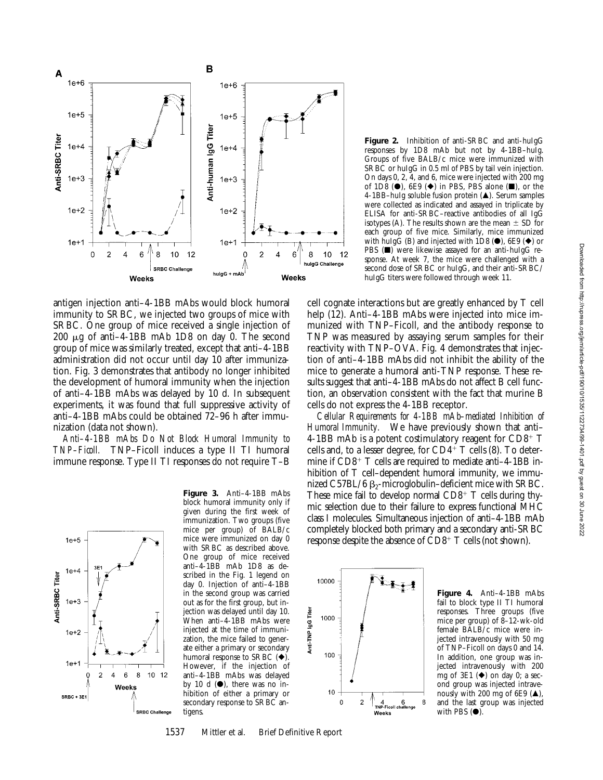

antigen injection anti–4-1BB mAbs would block humoral immunity to SRBC, we injected two groups of mice with SRBC. One group of mice received a single injection of 200  $\mu$ g of anti–4-1BB mAb 1D8 on day 0. The second group of mice was similarly treated, except that anti–4-1BB administration did not occur until day 10 after immunization. Fig. 3 demonstrates that antibody no longer inhibited the development of humoral immunity when the injection of anti–4-1BB mAbs was delayed by 10 d. In subsequent experiments, it was found that full suppressive activity of anti–4-1BB mAbs could be obtained 72–96 h after immunization (data not shown).

*Anti–4-1BB mAbs Do Not Block Humoral Immunity to TNP–Ficoll.* TNP–Ficoll induces a type II TI humoral immune response. Type II TI responses do not require T–B

![](_page_2_Figure_4.jpeg)

**Figure 3.** Anti–4-1BB mAbs block humoral immunity only if given during the first week of immunization. Two groups (five mice per group) of BALB/c mice were immunized on day 0 with SRBC as described above. One group of mice received anti–4-1BB mAb 1D8 as described in the Fig. 1 legend on day 0. Injection of anti–4-1BB in the second group was carried out as for the first group, but injection was delayed until day 10. When anti–4-1BB mAbs were injected at the time of immunization, the mice failed to generate either a primary or secondary humoral response to SRBC  $(\blacklozenge)$ . However, if the injection of anti–4-1BB mAbs was delayed by 10 d  $(\bullet)$ , there was no inhibition of either a primary or secondary response to SRBC antigens.

1537 Mittler et al. Brief Definitive Report

![](_page_2_Figure_7.jpeg)

cell cognate interactions but are greatly enhanced by T cell help (12). Anti–4-1BB mAbs were injected into mice immunized with TNP–Ficoll, and the antibody response to TNP was measured by assaying serum samples for their reactivity with TNP–OVA. Fig. 4 demonstrates that injection of anti–4-1BB mAbs did not inhibit the ability of the mice to generate a humoral anti-TNP response. These results suggest that anti–4-1BB mAbs do not affect B cell function, an observation consistent with the fact that murine B cells do not express the 4-1BB receptor.

*Cellular Requirements for 4-1BB mAb–mediated Inhibition of Humoral Immunity.* We have previously shown that anti– 4-1BB mAb is a potent costimulatory reagent for  $CD8^+$  T cells and, to a lesser degree, for  $CD4^+$  T cells (8). To determine if  $CD8^+$  T cells are required to mediate anti-4-1BB inhibition of T cell–dependent humoral immunity, we immunized C57BL/6  $\beta_2$ -microglobulin–deficient mice with SRBC. These mice fail to develop normal  $CD8^+$  T cells during thymic selection due to their failure to express functional MHC class I molecules. Simultaneous injection of anti–4-1BB mAb completely blocked both primary and a secondary anti-SRBC response despite the absence of CD8<sup>+</sup> T cells (not shown).

![](_page_2_Figure_10.jpeg)

**Figure 4.** Anti–4-1BB mAbs fail to block type II TI humoral responses. Three groups (five mice per group) of 8–12-wk-old female BALB/c mice were injected intravenously with 50 mg of TNP–Ficoll on days 0 and 14. In addition, one group was injected intravenously with 200 mg of 3E1  $(\blacklozenge)$  on day 0; a second group was injected intravenously with 200 mg of 6E9  $(A)$ , and the last group was injected with PBS  $(①)$ .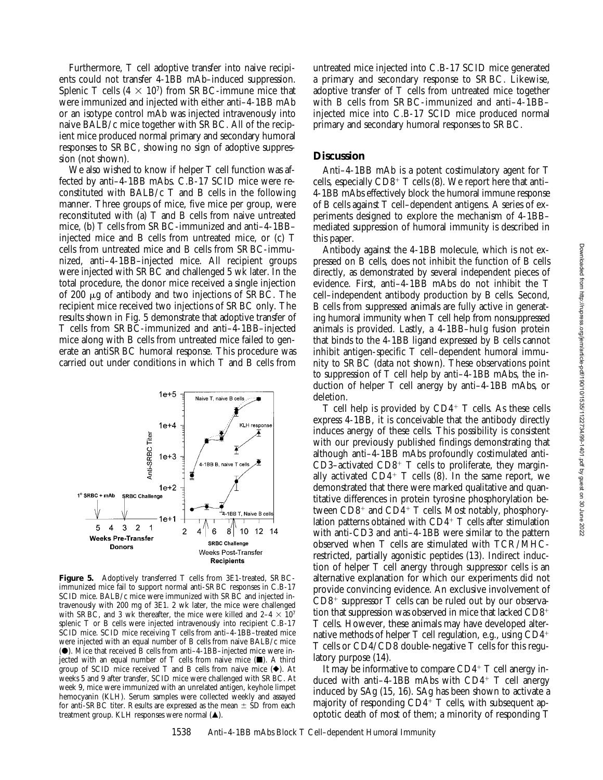Furthermore, T cell adoptive transfer into naive recipients could not transfer 4-1BB mAb–induced suppression. Splenic T cells  $(4 \times 10^7)$  from SRBC-immune mice that were immunized and injected with either anti–4-1BB mAb or an isotype control mAb was injected intravenously into naive BALB/c mice together with SRBC. All of the recipient mice produced normal primary and secondary humoral responses to SRBC, showing no sign of adoptive suppression (not shown).

We also wished to know if helper T cell function was affected by anti–4-1BB mAbs. C.B-17 SCID mice were reconstituted with BALB/c T and B cells in the following manner. Three groups of mice, five mice per group, were reconstituted with (a) T and B cells from naive untreated mice, (b) T cells from SRBC-immunized and anti–4-1BB– injected mice and B cells from untreated mice, or (c) T cells from untreated mice and B cells from SRBC-immunized, anti–4-1BB–injected mice. All recipient groups were injected with SRBC and challenged 5 wk later. In the total procedure, the donor mice received a single injection of 200  $\mu$ g of antibody and two injections of SRBC. The recipient mice received two injections of SRBC only. The results shown in Fig. 5 demonstrate that adoptive transfer of T cells from SRBC-immunized and anti–4-1BB–injected mice along with B cells from untreated mice failed to generate an antiSRBC humoral response. This procedure was carried out under conditions in which T and B cells from

![](_page_3_Figure_3.jpeg)

**Figure 5.** Adoptively transferred T cells from 3E1-treated, SRBCimmunized mice fail to support normal anti-SRBC responses in C.B-17 SCID mice. BALB/c mice were immunized with SRBC and injected intravenously with 200 mg of 3E1. 2 wk later, the mice were challenged with SRBC, and 3 wk thereafter, the mice were killed and  $2-4 \times 10^7$ splenic T or B cells were injected intravenously into recipient C.B-17 SCID mice. SCID mice receiving T cells from anti–4-1BB–treated mice were injected with an equal number of B cells from naive BALB/c mice  $(\bullet)$ . Mice that received B cells from anti-4-1BB-injected mice were injected with an equal number of T cells from naive mice  $(\blacksquare)$ . A third group of SCID mice received T and B cells from naive mice  $(\blacklozenge)$ . At weeks 5 and 9 after transfer, SCID mice were challenged with SRBC. At week 9, mice were immunized with an unrelated antigen, keyhole limpet hemocyanin (KLH). Serum samples were collected weekly and assayed for anti-SRBC titer. Results are expressed as the mean  $\pm$  SD from each treatment group. KLH responses were normal  $(\triangle)$ .

untreated mice injected into C.B-17 SCID mice generated a primary and secondary response to SRBC. Likewise, adoptive transfer of T cells from untreated mice together with B cells from SRBC-immunized and anti–4-1BB– injected mice into C.B-17 SCID mice produced normal primary and secondary humoral responses to SRBC.

### **Discussion**

Anti–4-1BB mAb is a potent costimulatory agent for T cells, especially  $CD8^+$  T cells (8). We report here that anti-4-1BB mAbs effectively block the humoral immune response of B cells against T cell–dependent antigens. A series of experiments designed to explore the mechanism of 4-1BB– mediated suppression of humoral immunity is described in this paper.

Antibody against the 4-1BB molecule, which is not expressed on B cells, does not inhibit the function of B cells directly, as demonstrated by several independent pieces of evidence. First, anti–4-1BB mAbs do not inhibit the T cell–independent antibody production by B cells. Second, B cells from suppressed animals are fully active in generating humoral immunity when T cell help from nonsuppressed animals is provided. Lastly, a 4-1BB–huIg fusion protein that binds to the 4-1BB ligand expressed by B cells cannot inhibit antigen-specific T cell–dependent humoral immunity to SRBC (data not shown). These observations point to suppression of T cell help by anti–4-1BB mAbs, the induction of helper T cell anergy by anti–4-1BB mAbs, or deletion.

 $T$  cell help is provided by  $CD4^+$  T cells. As these cells express 4-1BB, it is conceivable that the antibody directly induces anergy of these cells. This possibility is consistent with our previously published findings demonstrating that although anti–4-1BB mAbs profoundly costimulated anti-CD3–activated CD8<sup>+</sup> T cells to proliferate, they marginally activated  $CD4^+$  T cells (8). In the same report, we demonstrated that there were marked qualitative and quantitative differences in protein tyrosine phosphorylation between  $CD8^+$  and  $CD4^+$  T cells. Most notably, phosphorylation patterns obtained with  $CD4^+$  T cells after stimulation with anti-CD3 and anti–4-1BB were similar to the pattern observed when T cells are stimulated with TCR/MHCrestricted, partially agonistic peptides (13). Indirect induction of helper T cell anergy through suppressor cells is an alternative explanation for which our experiments did not provide convincing evidence. An exclusive involvement of  $CD8<sup>+</sup>$  suppressor T cells can be ruled out by our observation that suppression was observed in mice that lacked  $CD8<sup>+</sup>$ T cells. However, these animals may have developed alternative methods of helper  $T$  cell regulation, e.g., using  $CD4^+$ T cells or CD4/CD8 double-negative T cells for this regulatory purpose (14).

It may be informative to compare  $CD4^+$  T cell anergy induced with anti–4-1BB mAbs with  $CD4^+$  T cell anergy induced by SAg (15, 16). SAg has been shown to activate a majority of responding  $CD4^+$  T cells, with subsequent apoptotic death of most of them; a minority of responding T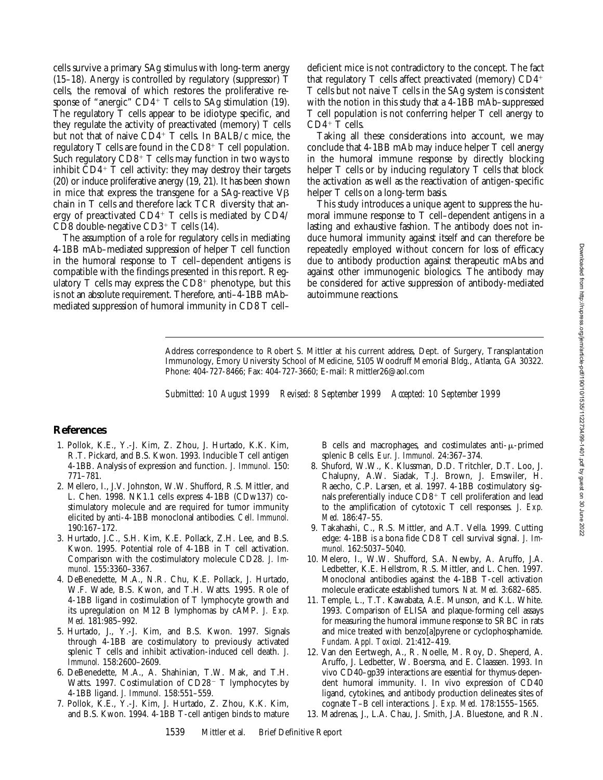cells survive a primary SAg stimulus with long-term anergy (15–18). Anergy is controlled by regulatory (suppressor) T cells, the removal of which restores the proliferative response of "anergic"  $CD4+T$  cells to SAg stimulation (19). The regulatory T cells appear to be idiotype specific, and they regulate the activity of preactivated (memory) T cells but not that of naive CD4<sup>+</sup> T cells. In BALB/c mice, the regulatory  $T$  cells are found in the  $CD8^+$  T cell population. Such regulatory  $CD8<sup>+</sup>$  T cells may function in two ways to inhibit  $CD4+T$  cell activity: they may destroy their targets (20) or induce proliferative anergy (19, 21). It has been shown in mice that express the transgene for a SAg-reactive  $V\beta$ chain in T cells and therefore lack TCR diversity that anergy of preactivated  $CD4^+$  T cells is mediated by  $CD4/$  $CD8$  double-negative  $CD3^+$  T cells (14).

The assumption of a role for regulatory cells in mediating 4-1BB mAb–mediated suppression of helper T cell function in the humoral response to T cell–dependent antigens is compatible with the findings presented in this report. Regulatory  $T$  cells may express the  $CD8^+$  phenotype, but this is not an absolute requirement. Therefore, anti–4-1BB mAb– mediated suppression of humoral immunity in CD8 T cell–

deficient mice is not contradictory to the concept. The fact that regulatory  $T$  cells affect preactivated (memory)  $CD4^+$ T cells but not naive T cells in the SAg system is consistent with the notion in this study that a 4-1BB mAb-suppressed T cell population is not conferring helper T cell anergy to  $CD4+T$  cells.

Taking all these considerations into account, we may conclude that 4-1BB mAb may induce helper T cell anergy in the humoral immune response by directly blocking helper T cells or by inducing regulatory T cells that block the activation as well as the reactivation of antigen-specific helper T cells on a long-term basis.

This study introduces a unique agent to suppress the humoral immune response to T cell–dependent antigens in a lasting and exhaustive fashion. The antibody does not induce humoral immunity against itself and can therefore be repeatedly employed without concern for loss of efficacy due to antibody production against therapeutic mAbs and against other immunogenic biologics. The antibody may be considered for active suppression of antibody-mediated autoimmune reactions.

Address correspondence to Robert S. Mittler at his current address, Dept. of Surgery, Transplantation Immunology, Emory University School of Medicine, 5105 Woodruff Memorial Bldg., Atlanta, GA 30322. Phone: 404-727-8466; Fax: 404-727-3660; E-mail: Rmittler26@aol.com

*Submitted: 10 August 1999 Revised: 8 September 1999 Accepted: 10 September 1999*

## **References**

- 1. Pollok, K.E., Y.-J. Kim, Z. Zhou, J. Hurtado, K.K. Kim, R.T. Pickard, and B.S. Kwon. 1993. Inducible T cell antigen 4-1BB. Analysis of expression and function. *J. Immunol.* 150: 771–781.
- 2. Mellero, I., J.V. Johnston, W.W. Shufford, R.S. Mittler, and L. Chen. 1998. NK1.1 cells express 4-1BB (CDw137) costimulatory molecule and are required for tumor immunity elicited by anti-4-1BB monoclonal antibodies. *Cell. Immunol.* 190:167–172.
- 3. Hurtado, J.C., S.H. Kim, K.E. Pollack, Z.H. Lee, and B.S. Kwon. 1995. Potential role of 4-1BB in T cell activation. Comparison with the costimulatory molecule CD28. *J. Immunol.* 155:3360–3367.
- 4. DeBenedette, M.A., N.R. Chu, K.E. Pollack, J. Hurtado, W.F. Wade, B.S. Kwon, and T.H. Watts. 1995. Role of 4-1BB ligand in costimulation of T lymphocyte growth and its upregulation on M12 B lymphomas by cAMP. *J. Exp. Med.* 181:985–992.
- 5. Hurtado, J., Y.-J. Kim, and B.S. Kwon. 1997. Signals through 4-1BB are costimulatory to previously activated splenic T cells and inhibit activation-induced cell death. *J. Immunol.* 158:2600–2609.
- 6. DeBenedette, M.A., A. Shahinian, T.W. Mak, and T.H. Watts. 1997. Costimulation of  $CD28<sup>-</sup>$  T lymphocytes by 4-1BB ligand. *J. Immunol.* 158:551–559.
- 7. Pollok, K.E., Y.-J. Kim, J. Hurtado, Z. Zhou, K.K. Kim, and B.S. Kwon. 1994. 4-1BB T-cell antigen binds to mature

B cells and macrophages, and costimulates anti- $\mu$ -primed splenic B cells. *Eur. J. Immunol.* 24:367–374.

- 8. Shuford, W.W., K. Klussman, D.D. Tritchler, D.T. Loo, J. Chalupny, A.W. Siadak, T.J. Brown, J. Emswiler, H. Raecho, C.P. Larsen, et al. 1997. 4-1BB costimulatory signals preferentially induce  $\mathrm{CD}8^+$  T cell proliferation and lead to the amplification of cytotoxic T cell responses. *J. Exp. Med.* 186:47–55.
- 9. Takahashi, C., R.S. Mittler, and A.T. Vella. 1999. Cutting edge: 4-1BB is a bona fide CD8 T cell survival signal. *J. Immunol.* 162:5037–5040.
- 10. Melero, I., W.W. Shufford, S.A. Newby, A. Aruffo, J.A. Ledbetter, K.E. Hellstrom, R.S. Mittler, and L. Chen. 1997. Monoclonal antibodies against the 4-1BB T-cell activation molecule eradicate established tumors. *Nat. Med.* 3:682–685.
- 11. Temple, L., T.T. Kawabata, A.E. Munson, and K.L. White. 1993. Comparison of ELISA and plaque-forming cell assays for measuring the humoral immune response to SRBC in rats and mice treated with benzo[a]pyrene or cyclophosphamide. *Fundam. Appl. Toxicol.* 21:412–419.
- 12. Van den Eertwegh, A., R. Noelle, M. Roy, D. Sheperd, A. Aruffo, J. Ledbetter, W. Boersma, and E. Claassen. 1993. In vivo CD40–gp39 interactions are essential for thymus-dependent humoral immunity. I. In vivo expression of CD40 ligand, cytokines, and antibody production delineates sites of cognate T–B cell interactions. *J. Exp. Med.* 178:1555–1565.
- 13. Madrenas, J., L.A. Chau, J. Smith, J.A. Bluestone, and R.N.